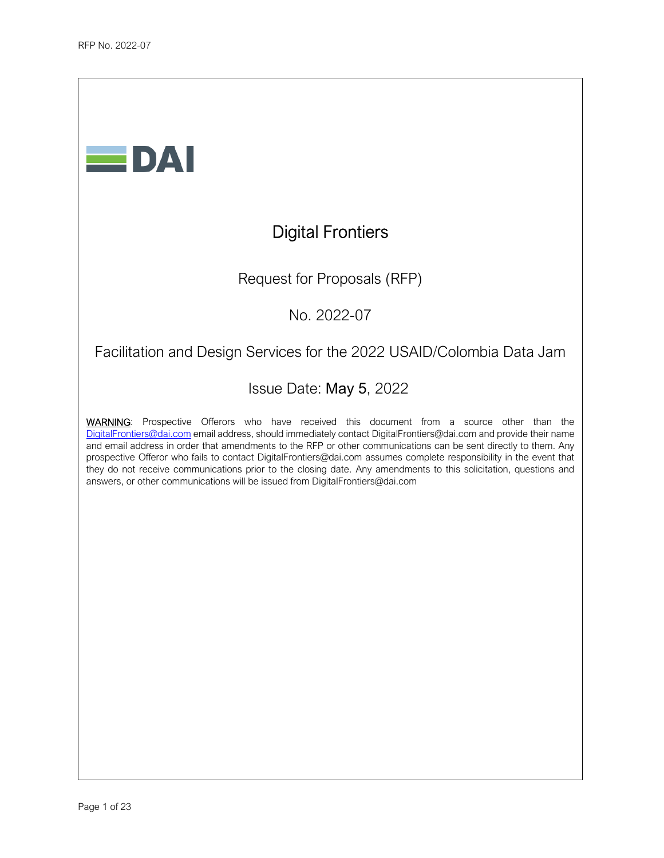

# Digital Frontiers

Request for Proposals (RFP)

No. 2022-07

## Facilitation and Design Services for the 2022 USAID/Colombia Data Jam

## Issue Date: May 5, 2022

WARNING: Prospective Offerors who have received this document from a source other than the DigitalFrontiers@dai.com email address, should immediately contact DigitalFrontiers@dai.com and provide their name and email address in order that amendments to the RFP or other communications can be sent directly to them. Any prospective Offeror who fails to contact DigitalFrontiers@dai.com assumes complete responsibility in the event that they do not receive communications prior to the closing date. Any amendments to this solicitation, questions and answers, or other communications will be issued from DigitalFrontiers@dai.com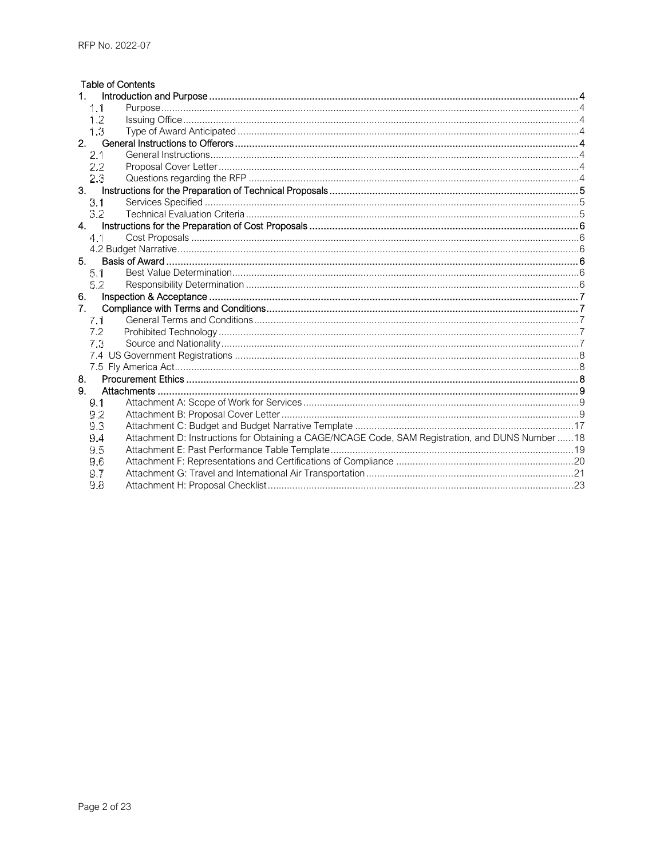| <b>Table of Contents</b>       |                                                                                                   |  |
|--------------------------------|---------------------------------------------------------------------------------------------------|--|
|                                |                                                                                                   |  |
| 1.1                            |                                                                                                   |  |
| 1.2                            |                                                                                                   |  |
| 1.3                            |                                                                                                   |  |
| 2.                             |                                                                                                   |  |
| 2.1                            |                                                                                                   |  |
| 2.2                            |                                                                                                   |  |
| 23                             |                                                                                                   |  |
| 3.                             |                                                                                                   |  |
| 3.1                            |                                                                                                   |  |
| 3.2                            |                                                                                                   |  |
| 4.                             |                                                                                                   |  |
| 4.1                            |                                                                                                   |  |
|                                |                                                                                                   |  |
| 5.                             |                                                                                                   |  |
| 5.1.                           |                                                                                                   |  |
| 5.2                            |                                                                                                   |  |
| 6.                             |                                                                                                   |  |
| $7_{\scriptscriptstyle{\sim}}$ |                                                                                                   |  |
| 7.1                            |                                                                                                   |  |
| 7.2                            |                                                                                                   |  |
| 7.3                            |                                                                                                   |  |
|                                |                                                                                                   |  |
|                                |                                                                                                   |  |
| 8.                             |                                                                                                   |  |
| 9.                             |                                                                                                   |  |
| 9.1                            |                                                                                                   |  |
| 9.2                            |                                                                                                   |  |
| 93                             |                                                                                                   |  |
| 9.4                            | Attachment D: Instructions for Obtaining a CAGE/NCAGE Code, SAM Registration, and DUNS Number  18 |  |
| 9.5                            |                                                                                                   |  |
| 9.6                            |                                                                                                   |  |
| 9.7                            |                                                                                                   |  |
| 9.8                            |                                                                                                   |  |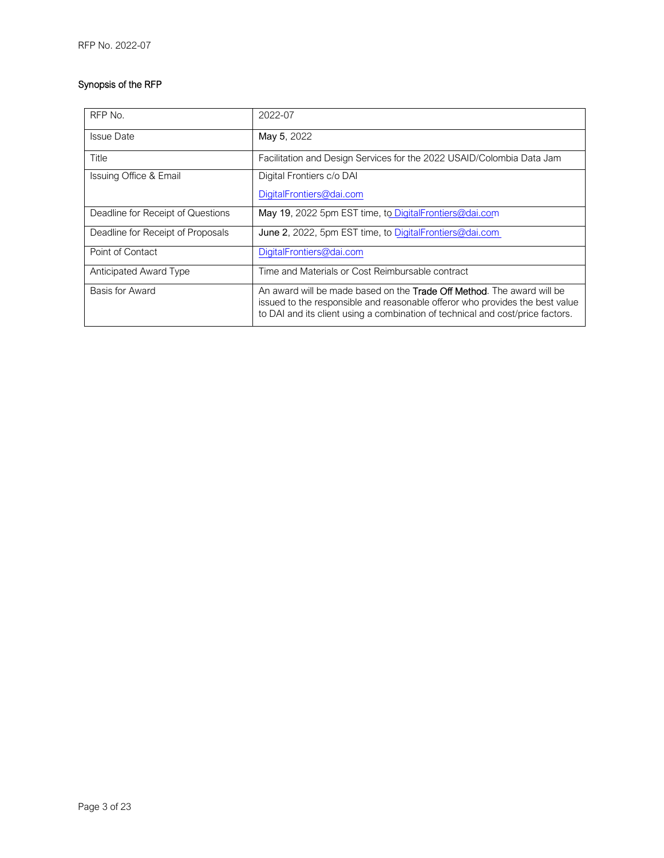### Synopsis of the RFP

| RFP No.                           | 2022-07                                                                                                                                                                                                                                          |  |  |
|-----------------------------------|--------------------------------------------------------------------------------------------------------------------------------------------------------------------------------------------------------------------------------------------------|--|--|
| <b>Issue Date</b>                 | May 5, 2022                                                                                                                                                                                                                                      |  |  |
| Title                             | Facilitation and Design Services for the 2022 USAID/Colombia Data Jam                                                                                                                                                                            |  |  |
| Issuing Office & Email            | Digital Frontiers c/o DAI                                                                                                                                                                                                                        |  |  |
|                                   | DigitalFrontiers@dai.com                                                                                                                                                                                                                         |  |  |
| Deadline for Receipt of Questions | May 19, 2022 5pm EST time, to DigitalFrontiers@dai.com                                                                                                                                                                                           |  |  |
| Deadline for Receipt of Proposals | June 2, 2022, 5pm EST time, to DigitalFrontiers@dai.com                                                                                                                                                                                          |  |  |
| Point of Contact                  | DigitalFrontiers@dai.com                                                                                                                                                                                                                         |  |  |
| Anticipated Award Type            | Time and Materials or Cost Reimbursable contract                                                                                                                                                                                                 |  |  |
| Basis for Award                   | An award will be made based on the <b>Trade Off Method</b> . The award will be<br>issued to the responsible and reasonable offeror who provides the best value<br>to DAI and its client using a combination of technical and cost/price factors. |  |  |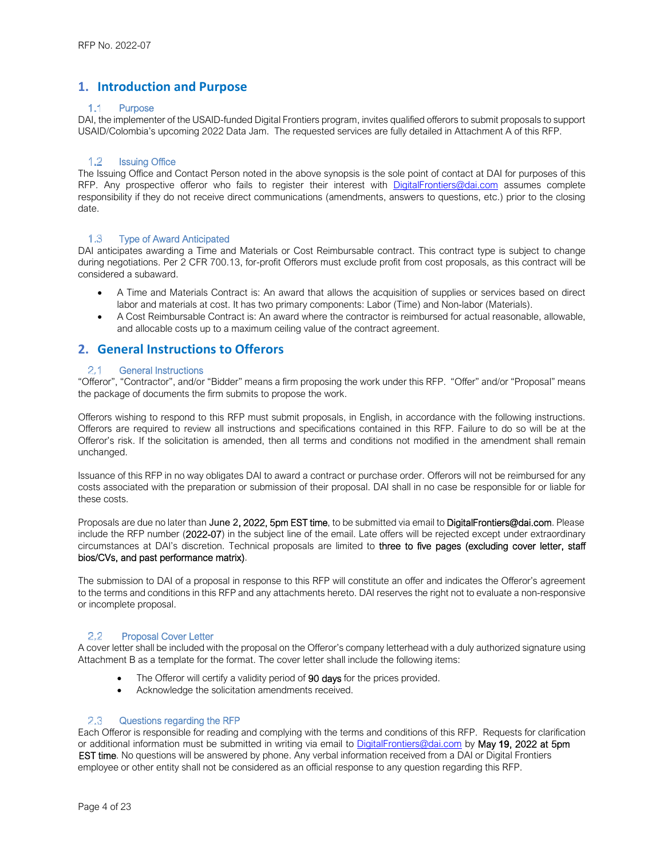### **1. Introduction and Purpose**

#### $1.1$ **Purpose**

DAI, the implementer of the USAID-funded Digital Frontiers program, invites qualified offerors to submit proposals to support USAID/Colombia's upcoming 2022 Data Jam. The requested services are fully detailed in Attachment A of this RFP.

#### $1.2$ Issuing Office

The Issuing Office and Contact Person noted in the above synopsis is the sole point of contact at DAI for purposes of this RFP. Any prospective offeror who fails to register their interest with DigitalFrontiers@dai.com assumes complete responsibility if they do not receive direct communications (amendments, answers to questions, etc.) prior to the closing date.

#### $1.3$ Type of Award Anticipated

DAI anticipates awarding a Time and Materials or Cost Reimbursable contract. This contract type is subject to change during negotiations. Per 2 CFR 700.13, for-profit Offerors must exclude profit from cost proposals, as this contract will be considered a subaward.

- A Time and Materials Contract is: An award that allows the acquisition of supplies or services based on direct labor and materials at cost. It has two primary components: Labor (Time) and Non-labor (Materials).
- A Cost Reimbursable Contract is: An award where the contractor is reimbursed for actual reasonable, allowable, and allocable costs up to a maximum ceiling value of the contract agreement.

### **2. General Instructions to Offerors**

#### $21$ General Instructions

"Offeror", "Contractor", and/or "Bidder" means a firm proposing the work under this RFP. "Offer" and/or "Proposal" means the package of documents the firm submits to propose the work.

Offerors wishing to respond to this RFP must submit proposals, in English, in accordance with the following instructions. Offerors are required to review all instructions and specifications contained in this RFP. Failure to do so will be at the Offeror's risk. If the solicitation is amended, then all terms and conditions not modified in the amendment shall remain unchanged.

Issuance of this RFP in no way obligates DAI to award a contract or purchase order. Offerors will not be reimbursed for any costs associated with the preparation or submission of their proposal. DAI shall in no case be responsible for or liable for these costs.

Proposals are due no later than June 2, 2022, 5pm EST time, to be submitted via email to DigitalFrontiers@dai.com. Please include the RFP number (2022-07) in the subject line of the email. Late offers will be rejected except under extraordinary circumstances at DAI's discretion. Technical proposals are limited to three to five pages (excluding cover letter, staff bios/CVs, and past performance matrix).

The submission to DAI of a proposal in response to this RFP will constitute an offer and indicates the Offeror's agreement to the terms and conditions in this RFP and any attachments hereto. DAI reserves the right not to evaluate a non-responsive or incomplete proposal.

#### 2.2 Proposal Cover Letter

A cover letter shall be included with the proposal on the Offeror's company letterhead with a duly authorized signature using Attachment B as a template for the format. The cover letter shall include the following items:

- The Offeror will certify a validity period of 90 days for the prices provided.
- Acknowledge the solicitation amendments received.

#### $2.3$ Questions regarding the RFP

Each Offeror is responsible for reading and complying with the terms and conditions of this RFP. Requests for clarification or additional information must be submitted in writing via email to DigitalFrontiers@dai.com by May 19, 2022 at 5pm EST time. No questions will be answered by phone. Any verbal information received from a DAI or Digital Frontiers employee or other entity shall not be considered as an official response to any question regarding this RFP.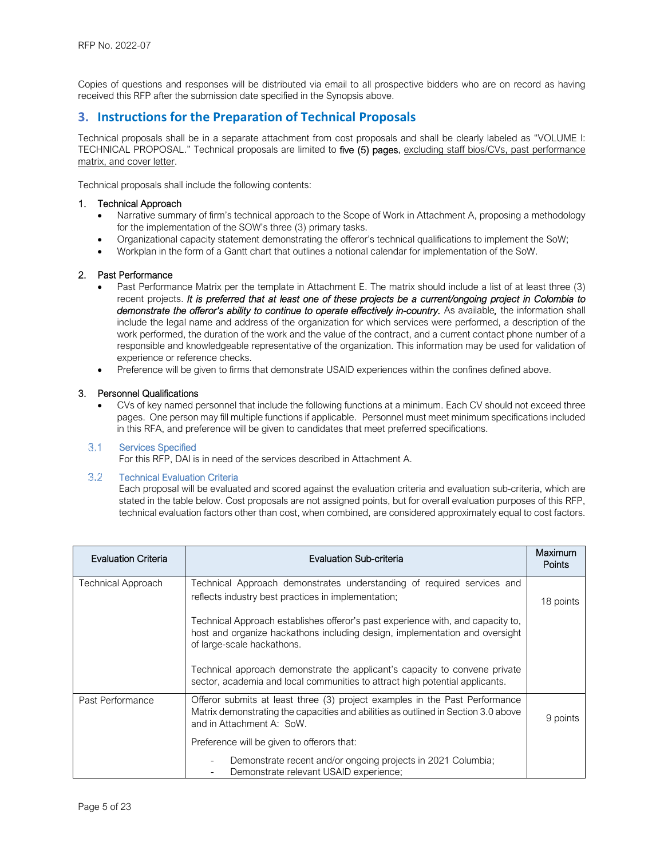Copies of questions and responses will be distributed via email to all prospective bidders who are on record as having received this RFP after the submission date specified in the Synopsis above.

### **3. Instructions for the Preparation of Technical Proposals**

Technical proposals shall be in a separate attachment from cost proposals and shall be clearly labeled as "VOLUME I: TECHNICAL PROPOSAL." Technical proposals are limited to five (5) pages, excluding staff bios/CVs, past performance matrix, and cover letter.

Technical proposals shall include the following contents:

#### 1. Technical Approach

- Narrative summary of firm's technical approach to the Scope of Work in Attachment A, proposing a methodology for the implementation of the SOW's three (3) primary tasks.
- Organizational capacity statement demonstrating the offeror's technical qualifications to implement the SoW;
- Workplan in the form of a Gantt chart that outlines a notional calendar for implementation of the SoW.

#### 2. Past Performance

- Past Performance Matrix per the template in Attachment E. The matrix should include a list of at least three (3) recent projects. *It is preferred that at least one of these projects be a current/ongoing project in Colombia to*  demonstrate the offeror's ability to continue to operate effectively in-country. As available, the information shall include the legal name and address of the organization for which services were performed, a description of the work performed, the duration of the work and the value of the contract, and a current contact phone number of a responsible and knowledgeable representative of the organization. This information may be used for validation of experience or reference checks.
- Preference will be given to firms that demonstrate USAID experiences within the confines defined above.

#### 3. Personnel Qualifications

 CVs of key named personnel that include the following functions at a minimum. Each CV should not exceed three pages. One person may fill multiple functions if applicable. Personnel must meet minimum specifications included in this RFA, and preference will be given to candidates that meet preferred specifications.

#### $3.1$ Services Specified

For this RFP, DAI is in need of the services described in Attachment A.

#### $3.2^{\circ}$ Technical Evaluation Criteria

Each proposal will be evaluated and scored against the evaluation criteria and evaluation sub-criteria, which are stated in the table below. Cost proposals are not assigned points, but for overall evaluation purposes of this RFP, technical evaluation factors other than cost, when combined, are considered approximately equal to cost factors.

| Evaluation Criteria | Evaluation Sub-criteria                                                                                                                                                                        |          |  |  |  |
|---------------------|------------------------------------------------------------------------------------------------------------------------------------------------------------------------------------------------|----------|--|--|--|
| Technical Approach  | Technical Approach demonstrates understanding of required services and<br>reflects industry best practices in implementation;                                                                  |          |  |  |  |
|                     | Technical Approach establishes offeror's past experience with, and capacity to,<br>host and organize hackathons including design, implementation and oversight<br>of large-scale hackathons.   |          |  |  |  |
|                     | Technical approach demonstrate the applicant's capacity to convene private<br>sector, academia and local communities to attract high potential applicants.                                     |          |  |  |  |
| Past Performance    | Offeror submits at least three (3) project examples in the Past Performance<br>Matrix demonstrating the capacities and abilities as outlined in Section 3.0 above<br>and in Attachment A: SoW. | 9 points |  |  |  |
|                     | Preference will be given to offerors that:                                                                                                                                                     |          |  |  |  |
|                     | Demonstrate recent and/or ongoing projects in 2021 Columbia;<br>Demonstrate relevant USAID experience;                                                                                         |          |  |  |  |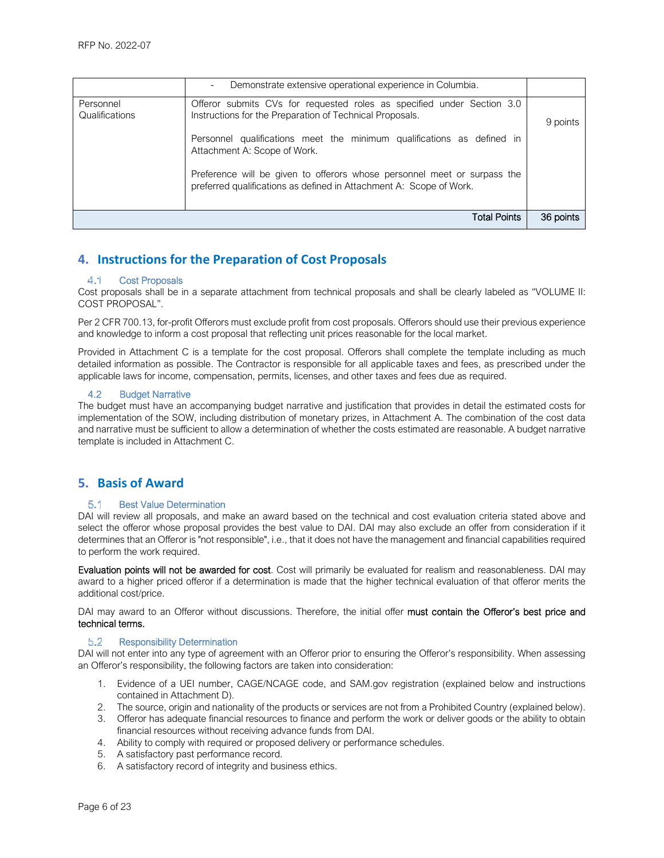|                             | Demonstrate extensive operational experience in Columbia.<br>$\overline{\phantom{0}}$                                                                                                                        |           |
|-----------------------------|--------------------------------------------------------------------------------------------------------------------------------------------------------------------------------------------------------------|-----------|
| Personnel<br>Qualifications | Offeror submits CVs for requested roles as specified under Section 3.0<br>Instructions for the Preparation of Technical Proposals.<br>Personnel qualifications meet the minimum qualifications as defined in | 9 points  |
|                             | Attachment A: Scope of Work.                                                                                                                                                                                 |           |
|                             | Preference will be given to offerors whose personnel meet or surpass the<br>preferred qualifications as defined in Attachment A: Scope of Work.                                                              |           |
|                             | <b>Total Points</b>                                                                                                                                                                                          | 36 points |

## **4. Instructions for the Preparation of Cost Proposals**

#### 4.1 Cost Proposals

Cost proposals shall be in a separate attachment from technical proposals and shall be clearly labeled as "VOLUME II: COST PROPOSAL".

Per 2 CFR 700.13, for-profit Offerors must exclude profit from cost proposals. Offerors should use their previous experience and knowledge to inform a cost proposal that reflecting unit prices reasonable for the local market.

Provided in Attachment C is a template for the cost proposal. Offerors shall complete the template including as much detailed information as possible. The Contractor is responsible for all applicable taxes and fees, as prescribed under the applicable laws for income, compensation, permits, licenses, and other taxes and fees due as required.

#### 4.2 Budget Narrative

The budget must have an accompanying budget narrative and justification that provides in detail the estimated costs for implementation of the SOW, including distribution of monetary prizes, in Attachment A. The combination of the cost data and narrative must be sufficient to allow a determination of whether the costs estimated are reasonable. A budget narrative template is included in Attachment C.

### **5. Basis of Award**

#### Best Value Determination  $5.1$

DAI will review all proposals, and make an award based on the technical and cost evaluation criteria stated above and select the offeror whose proposal provides the best value to DAI. DAI may also exclude an offer from consideration if it determines that an Offeror is "not responsible", i.e., that it does not have the management and financial capabilities required to perform the work required.

Evaluation points will not be awarded for cost. Cost will primarily be evaluated for realism and reasonableness. DAI mav award to a higher priced offeror if a determination is made that the higher technical evaluation of that offeror merits the additional cost/price.

DAI may award to an Offeror without discussions. Therefore, the initial offer must contain the Offeror's best price and technical terms.

#### 5.2 Responsibility Determination

DAI will not enter into any type of agreement with an Offeror prior to ensuring the Offeror's responsibility. When assessing an Offeror's responsibility, the following factors are taken into consideration:

- 1. Evidence of a UEI number, CAGE/NCAGE code, and SAM.gov registration (explained below and instructions contained in Attachment D).
- 2. The source, origin and nationality of the products or services are not from a Prohibited Country (explained below).
- 3. Offeror has adequate financial resources to finance and perform the work or deliver goods or the ability to obtain financial resources without receiving advance funds from DAI.
- 4. Ability to comply with required or proposed delivery or performance schedules.
- 5. A satisfactory past performance record.
- 6. A satisfactory record of integrity and business ethics.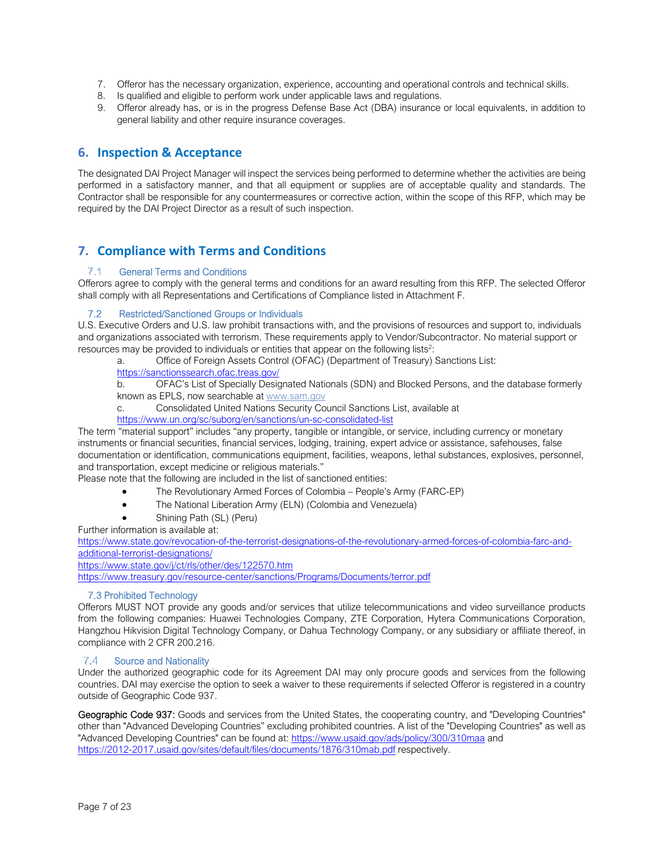- 7. Offeror has the necessary organization, experience, accounting and operational controls and technical skills.
- 8. Is qualified and eligible to perform work under applicable laws and regulations.
- 9. Offeror already has, or is in the progress Defense Base Act (DBA) insurance or local equivalents, in addition to general liability and other require insurance coverages.

### **6. Inspection & Acceptance**

The designated DAI Project Manager will inspect the services being performed to determine whether the activities are being performed in a satisfactory manner, and that all equipment or supplies are of acceptable quality and standards. The Contractor shall be responsible for any countermeasures or corrective action, within the scope of this RFP, which may be required by the DAI Project Director as a result of such inspection.

### **7. Compliance with Terms and Conditions**

#### General Terms and Conditions

Offerors agree to comply with the general terms and conditions for an award resulting from this RFP. The selected Offeror shall comply with all Representations and Certifications of Compliance listed in Attachment F.

#### 7.2 Restricted/Sanctioned Groups or Individuals

U.S. Executive Orders and U.S. law prohibit transactions with, and the provisions of resources and support to, individuals and organizations associated with terrorism. These requirements apply to Vendor/Subcontractor. No material support or resources may be provided to individuals or entities that appear on the following lists<sup>2</sup>:

a. Office of Foreign Assets Control (OFAC) (Department of Treasury) Sanctions List:

https://sanctionssearch.ofac.treas.gov/

b. OFAC's List of Specially Designated Nationals (SDN) and Blocked Persons, and the database formerly known as EPLS, now searchable at www.sam.gov

c. Consolidated United Nations Security Council Sanctions List, available at

https://www.un.org/sc/suborg/en/sanctions/un-sc-consolidated-list

The term "material support" includes "any property, tangible or intangible, or service, including currency or monetary instruments or financial securities, financial services, lodging, training, expert advice or assistance, safehouses, false documentation or identification, communications equipment, facilities, weapons, lethal substances, explosives, personnel, and transportation, except medicine or religious materials."

Please note that the following are included in the list of sanctioned entities:

- The Revolutionary Armed Forces of Colombia People's Army (FARC-EP)
- The National Liberation Army (ELN) (Colombia and Venezuela)
- Shining Path (SL) (Peru)

Further information is available at:

https://www.state.gov/revocation-of-the-terrorist-designations-of-the-revolutionary-armed-forces-of-colombia-farc-andadditional-terrorist-designations/

https://www.state.gov/j/ct/rls/other/des/122570.htm

https://www.treasury.gov/resource-center/sanctions/Programs/Documents/terror.pdf

### 7.3 Prohibited Technology

Offerors MUST NOT provide any goods and/or services that utilize telecommunications and video surveillance products from the following companies: Huawei Technologies Company, ZTE Corporation, Hytera Communications Corporation, Hangzhou Hikvision Digital Technology Company, or Dahua Technology Company, or any subsidiary or affiliate thereof, in compliance with 2 CFR 200.216.

#### $7A$ Source and Nationality

Under the authorized geographic code for its Agreement DAI may only procure goods and services from the following countries. DAI may exercise the option to seek a waiver to these requirements if selected Offeror is registered in a country outside of Geographic Code 937.

Geographic Code 937: Goods and services from the United States, the cooperating country, and "Developing Countries" other than "Advanced Developing Countries" excluding prohibited countries. A list of the "Developing Countries" as well as "Advanced Developing Countries" can be found at: https://www.usaid.gov/ads/policy/300/310maa and https://2012-2017.usaid.gov/sites/default/files/documents/1876/310mab.pdf respectively.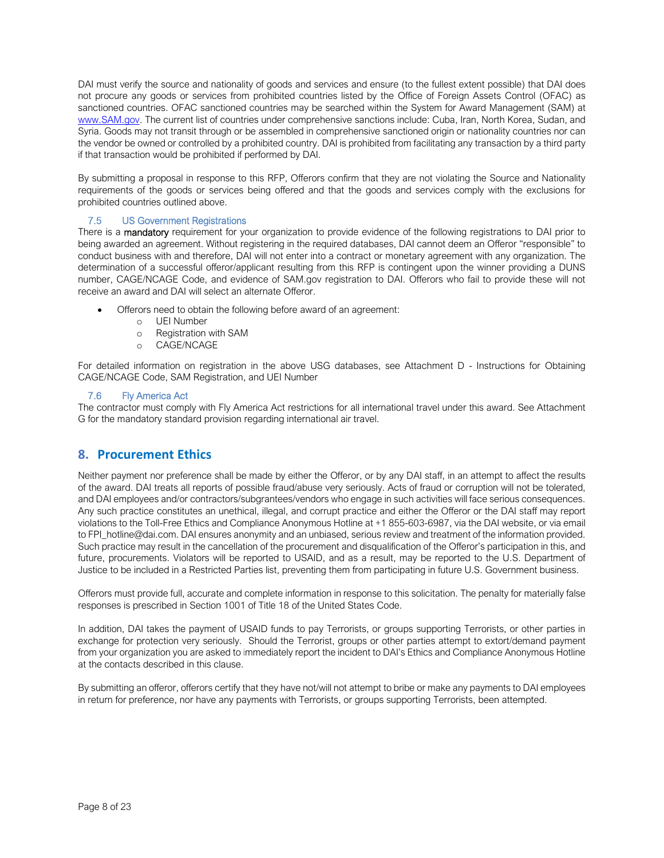DAI must verify the source and nationality of goods and services and ensure (to the fullest extent possible) that DAI does not procure any goods or services from prohibited countries listed by the Office of Foreign Assets Control (OFAC) as sanctioned countries. OFAC sanctioned countries may be searched within the System for Award Management (SAM) at www.SAM.gov. The current list of countries under comprehensive sanctions include: Cuba, Iran, North Korea, Sudan, and Syria. Goods may not transit through or be assembled in comprehensive sanctioned origin or nationality countries nor can the vendor be owned or controlled by a prohibited country. DAI is prohibited from facilitating any transaction by a third party if that transaction would be prohibited if performed by DAI.

By submitting a proposal in response to this RFP, Offerors confirm that they are not violating the Source and Nationality requirements of the goods or services being offered and that the goods and services comply with the exclusions for prohibited countries outlined above.

### 7.5 US Government Registrations

There is a mandatory requirement for your organization to provide evidence of the following registrations to DAI prior to being awarded an agreement. Without registering in the required databases, DAI cannot deem an Offeror "responsible" to conduct business with and therefore, DAI will not enter into a contract or monetary agreement with any organization. The determination of a successful offeror/applicant resulting from this RFP is contingent upon the winner providing a DUNS number, CAGE/NCAGE Code, and evidence of SAM.gov registration to DAI. Offerors who fail to provide these will not receive an award and DAI will select an alternate Offeror.

- Offerors need to obtain the following before award of an agreement:
	- o UEI Number
	- o Registration with SAM
	- o CAGE/NCAGE

For detailed information on registration in the above USG databases, see Attachment D - Instructions for Obtaining CAGE/NCAGE Code, SAM Registration, and UEI Number

#### 7.6 Fly America Act

The contractor must comply with Fly America Act restrictions for all international travel under this award. See Attachment G for the mandatory standard provision regarding international air travel.

### **8. Procurement Ethics**

Neither payment nor preference shall be made by either the Offeror, or by any DAI staff, in an attempt to affect the results of the award. DAI treats all reports of possible fraud/abuse very seriously. Acts of fraud or corruption will not be tolerated, and DAI employees and/or contractors/subgrantees/vendors who engage in such activities will face serious consequences. Any such practice constitutes an unethical, illegal, and corrupt practice and either the Offeror or the DAI staff may report violations to the Toll-Free Ethics and Compliance Anonymous Hotline at +1 855-603-6987, via the DAI website, or via email to FPI\_hotline@dai.com. DAI ensures anonymity and an unbiased, serious review and treatment of the information provided. Such practice may result in the cancellation of the procurement and disqualification of the Offeror's participation in this, and future, procurements. Violators will be reported to USAID, and as a result, may be reported to the U.S. Department of Justice to be included in a Restricted Parties list, preventing them from participating in future U.S. Government business.

Offerors must provide full, accurate and complete information in response to this solicitation. The penalty for materially false responses is prescribed in Section 1001 of Title 18 of the United States Code.

In addition, DAI takes the payment of USAID funds to pay Terrorists, or groups supporting Terrorists, or other parties in exchange for protection very seriously. Should the Terrorist, groups or other parties attempt to extort/demand payment from your organization you are asked to immediately report the incident to DAI's Ethics and Compliance Anonymous Hotline at the contacts described in this clause.

By submitting an offeror, offerors certify that they have not/will not attempt to bribe or make any payments to DAI employees in return for preference, nor have any payments with Terrorists, or groups supporting Terrorists, been attempted.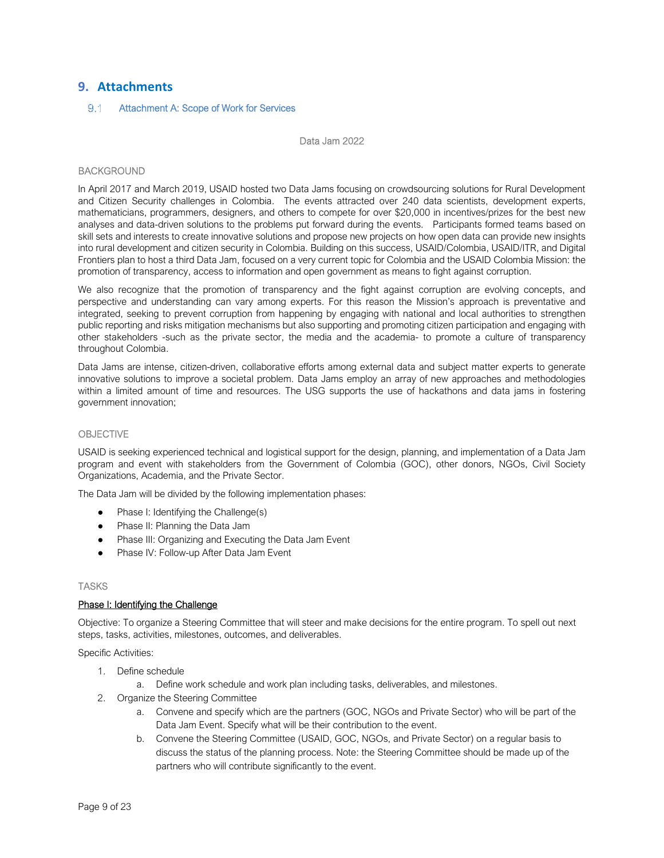### **9. Attachments**

#### $9.1$ Attachment A: Scope of Work for Services

Data Jam 2022

#### BACKGROUND

In April 2017 and March 2019, USAID hosted two Data Jams focusing on crowdsourcing solutions for Rural Development and Citizen Security challenges in Colombia. The events attracted over 240 data scientists, development experts, mathematicians, programmers, designers, and others to compete for over \$20,000 in incentives/prizes for the best new analyses and data-driven solutions to the problems put forward during the events. Participants formed teams based on skill sets and interests to create innovative solutions and propose new projects on how open data can provide new insights into rural development and citizen security in Colombia. Building on this success, USAID/Colombia, USAID/ITR, and Digital Frontiers plan to host a third Data Jam, focused on a very current topic for Colombia and the USAID Colombia Mission: the promotion of transparency, access to information and open government as means to fight against corruption.

We also recognize that the promotion of transparency and the fight against corruption are evolving concepts, and perspective and understanding can vary among experts. For this reason the Mission's approach is preventative and integrated, seeking to prevent corruption from happening by engaging with national and local authorities to strengthen public reporting and risks mitigation mechanisms but also supporting and promoting citizen participation and engaging with other stakeholders -such as the private sector, the media and the academia- to promote a culture of transparency throughout Colombia.

Data Jams are intense, citizen-driven, collaborative efforts among external data and subject matter experts to generate innovative solutions to improve a societal problem. Data Jams employ an array of new approaches and methodologies within a limited amount of time and resources. The USG supports the use of hackathons and data jams in fostering government innovation;

#### **OBJECTIVE**

USAID is seeking experienced technical and logistical support for the design, planning, and implementation of a Data Jam program and event with stakeholders from the Government of Colombia (GOC), other donors, NGOs, Civil Society Organizations, Academia, and the Private Sector.

The Data Jam will be divided by the following implementation phases:

- Phase I: Identifying the Challenge(s)
- Phase II: Planning the Data Jam
- Phase III: Organizing and Executing the Data Jam Event
- Phase IV: Follow-up After Data Jam Event

#### **TASKS**

#### Phase I: Identifying the Challenge

Objective: To organize a Steering Committee that will steer and make decisions for the entire program. To spell out next steps, tasks, activities, milestones, outcomes, and deliverables.

Specific Activities:

- 1. Define schedule
	- a. Define work schedule and work plan including tasks, deliverables, and milestones.
- 2. Organize the Steering Committee
	- a. Convene and specify which are the partners (GOC, NGOs and Private Sector) who will be part of the Data Jam Event. Specify what will be their contribution to the event.
	- b. Convene the Steering Committee (USAID, GOC, NGOs, and Private Sector) on a regular basis to discuss the status of the planning process. Note: the Steering Committee should be made up of the partners who will contribute significantly to the event.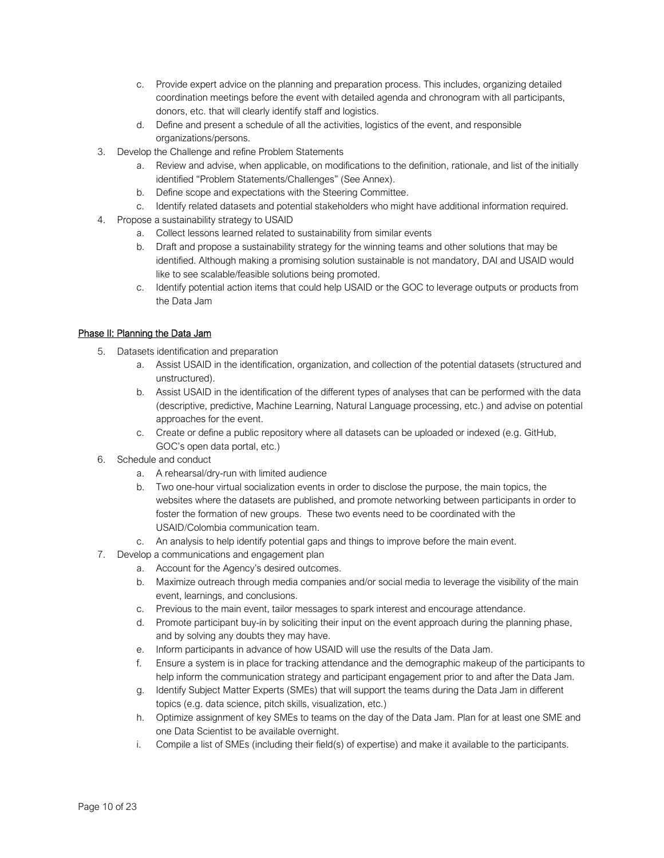- c. Provide expert advice on the planning and preparation process. This includes, organizing detailed coordination meetings before the event with detailed agenda and chronogram with all participants, donors, etc. that will clearly identify staff and logistics.
- d. Define and present a schedule of all the activities, logistics of the event, and responsible organizations/persons.
- 3. Develop the Challenge and refine Problem Statements
	- a. Review and advise, when applicable, on modifications to the definition, rationale, and list of the initially identified "Problem Statements/Challenges" (See Annex).
	- b. Define scope and expectations with the Steering Committee.
	- c. Identify related datasets and potential stakeholders who might have additional information required.
- 4. Propose a sustainability strategy to USAID
	- a. Collect lessons learned related to sustainability from similar events
	- b. Draft and propose a sustainability strategy for the winning teams and other solutions that may be identified. Although making a promising solution sustainable is not mandatory, DAI and USAID would like to see scalable/feasible solutions being promoted.
	- c. Identify potential action items that could help USAID or the GOC to leverage outputs or products from the Data Jam

### Phase II: Planning the Data Jam

- 5. Datasets identification and preparation
	- a. Assist USAID in the identification, organization, and collection of the potential datasets (structured and unstructured).
	- b. Assist USAID in the identification of the different types of analyses that can be performed with the data (descriptive, predictive, Machine Learning, Natural Language processing, etc.) and advise on potential approaches for the event.
	- c. Create or define a public repository where all datasets can be uploaded or indexed (e.g. GitHub, GOC's open data portal, etc.)
- 6. Schedule and conduct
	- a. A rehearsal/dry-run with limited audience
	- b. Two one-hour virtual socialization events in order to disclose the purpose, the main topics, the websites where the datasets are published, and promote networking between participants in order to foster the formation of new groups. These two events need to be coordinated with the USAID/Colombia communication team.
	- c. An analysis to help identify potential gaps and things to improve before the main event.
- 7. Develop a communications and engagement plan
	- a. Account for the Agency's desired outcomes.
	- b. Maximize outreach through media companies and/or social media to leverage the visibility of the main event, learnings, and conclusions.
	- c. Previous to the main event, tailor messages to spark interest and encourage attendance.
	- d. Promote participant buy-in by soliciting their input on the event approach during the planning phase, and by solving any doubts they may have.
	- e. Inform participants in advance of how USAID will use the results of the Data Jam.
	- f. Ensure a system is in place for tracking attendance and the demographic makeup of the participants to help inform the communication strategy and participant engagement prior to and after the Data Jam.
	- g. Identify Subject Matter Experts (SMEs) that will support the teams during the Data Jam in different topics (e.g. data science, pitch skills, visualization, etc.)
	- h. Optimize assignment of key SMEs to teams on the day of the Data Jam. Plan for at least one SME and one Data Scientist to be available overnight.
	- i. Compile a list of SMEs (including their field(s) of expertise) and make it available to the participants.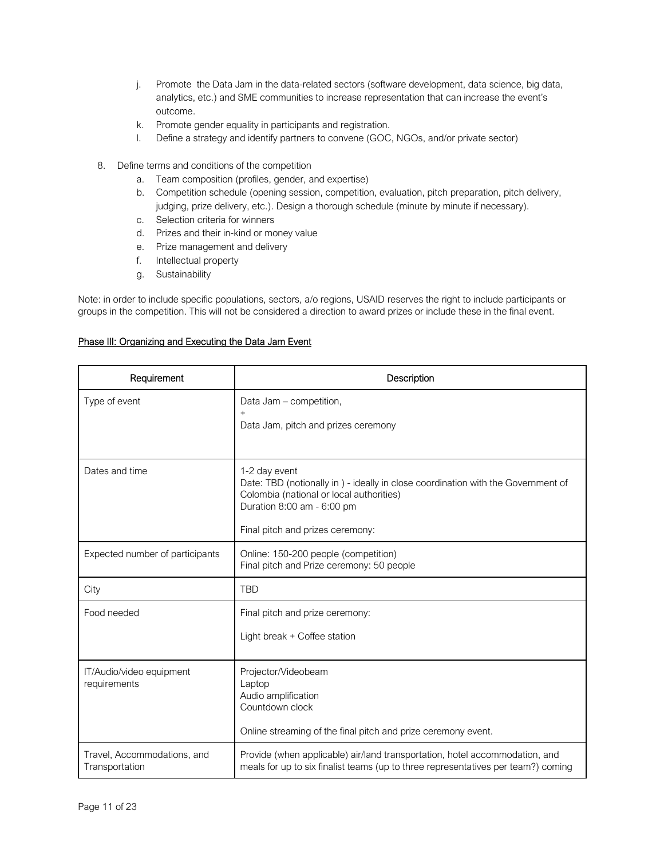- j. Promote the Data Jam in the data-related sectors (software development, data science, big data, analytics, etc.) and SME communities to increase representation that can increase the event's outcome.
- k. Promote gender equality in participants and registration.
- l. Define a strategy and identify partners to convene (GOC, NGOs, and/or private sector)
- 8. Define terms and conditions of the competition
	- a. Team composition (profiles, gender, and expertise)
	- b. Competition schedule (opening session, competition, evaluation, pitch preparation, pitch delivery, judging, prize delivery, etc.). Design a thorough schedule (minute by minute if necessary).
	- c. Selection criteria for winners
	- d. Prizes and their in-kind or money value
	- e. Prize management and delivery
	- f. Intellectual property
	- g. Sustainability

Note: in order to include specific populations, sectors, a/o regions, USAID reserves the right to include participants or groups in the competition. This will not be considered a direction to award prizes or include these in the final event.

### Phase III: Organizing and Executing the Data Jam Event

| Requirement                                                                                                                                                                                                       | Description                                                                                                                                                                                                      |  |  |  |
|-------------------------------------------------------------------------------------------------------------------------------------------------------------------------------------------------------------------|------------------------------------------------------------------------------------------------------------------------------------------------------------------------------------------------------------------|--|--|--|
| Type of event                                                                                                                                                                                                     | Data Jam - competition,<br>$+$<br>Data Jam, pitch and prizes ceremony                                                                                                                                            |  |  |  |
| Dates and time                                                                                                                                                                                                    | 1-2 day event<br>Date: TBD (notionally in ) - ideally in close coordination with the Government of<br>Colombia (national or local authorities)<br>Duration 8:00 am - 6:00 pm<br>Final pitch and prizes ceremony: |  |  |  |
| Expected number of participants                                                                                                                                                                                   | Online: 150-200 people (competition)<br>Final pitch and Prize ceremony: 50 people                                                                                                                                |  |  |  |
| City                                                                                                                                                                                                              | <b>TBD</b>                                                                                                                                                                                                       |  |  |  |
| Food needed                                                                                                                                                                                                       | Final pitch and prize ceremony:<br>Light break + Coffee station                                                                                                                                                  |  |  |  |
| IT/Audio/video equipment<br>requirements                                                                                                                                                                          | Projector/Videobeam<br>Laptop<br>Audio amplification<br>Countdown clock<br>Online streaming of the final pitch and prize ceremony event.                                                                         |  |  |  |
| Travel, Accommodations, and<br>Provide (when applicable) air/land transportation, hotel accommodation, and<br>meals for up to six finalist teams (up to three representatives per team?) coming<br>Transportation |                                                                                                                                                                                                                  |  |  |  |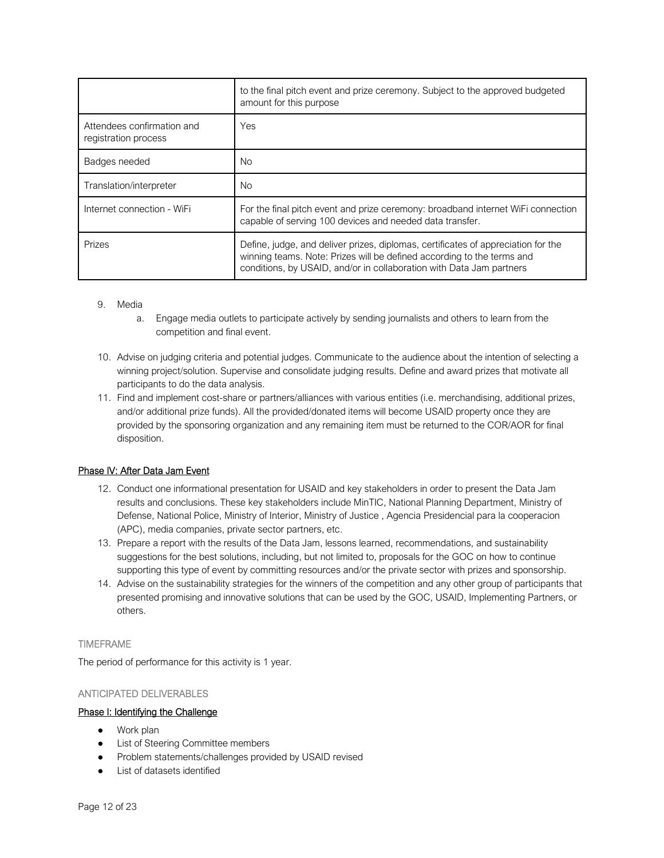|                                                    | to the final pitch event and prize ceremony. Subject to the approved budgeted<br>amount for this purpose                                                                                                                            |  |
|----------------------------------------------------|-------------------------------------------------------------------------------------------------------------------------------------------------------------------------------------------------------------------------------------|--|
| Attendees confirmation and<br>registration process | Yes                                                                                                                                                                                                                                 |  |
| Badges needed                                      | <b>No</b>                                                                                                                                                                                                                           |  |
| Translation/interpreter                            | No.                                                                                                                                                                                                                                 |  |
| Internet connection - WiFi                         | For the final pitch event and prize ceremony: broadband internet WiFi connection<br>capable of serving 100 devices and needed data transfer.                                                                                        |  |
| Prizes                                             | Define, judge, and deliver prizes, diplomas, certificates of appreciation for the<br>winning teams. Note: Prizes will be defined according to the terms and<br>conditions, by USAID, and/or in collaboration with Data Jam partners |  |

### 9. Media

- a. Engage media outlets to participate actively by sending journalists and others to learn from the competition and final event.
- 10. Advise on judging criteria and potential judges. Communicate to the audience about the intention of selecting a winning project/solution. Supervise and consolidate judging results. Define and award prizes that motivate all participants to do the data analysis.
- 11. Find and implement cost-share or partners/alliances with various entities (i.e. merchandising, additional prizes, and/or additional prize funds). All the provided/donated items will become USAID property once they are provided by the sponsoring organization and any remaining item must be returned to the COR/AOR for final disposition.

### Phase IV: After Data Jam Event

- 12. Conduct one informational presentation for USAID and key stakeholders in order to present the Data Jam results and conclusions. These key stakeholders include MinTIC, National Planning Department, Ministry of Defense, National Police, Ministry of Interior, Ministry of Justice , Agencia Presidencial para la cooperacion (APC), media companies, private sector partners, etc.
- 13. Prepare a report with the results of the Data Jam, lessons learned, recommendations, and sustainability suggestions for the best solutions, including, but not limited to, proposals for the GOC on how to continue supporting this type of event by committing resources and/or the private sector with prizes and sponsorship.
- 14. Advise on the sustainability strategies for the winners of the competition and any other group of participants that presented promising and innovative solutions that can be used by the GOC, USAID, Implementing Partners, or others.

### TIMEFRAME

The period of performance for this activity is 1 year.

### ANTICIPATED DELIVERABLES

### Phase I: Identifying the Challenge

- Work plan
- **List of Steering Committee members**
- Problem statements/challenges provided by USAID revised
- List of datasets identified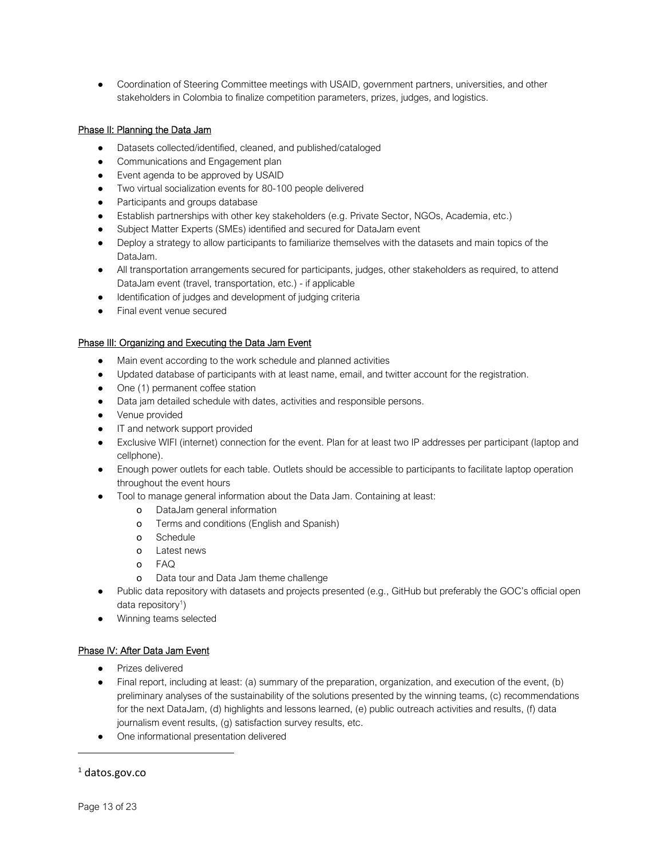● Coordination of Steering Committee meetings with USAID, government partners, universities, and other stakeholders in Colombia to finalize competition parameters, prizes, judges, and logistics.

### Phase II: Planning the Data Jam

- Datasets collected/identified, cleaned, and published/cataloged
- Communications and Engagement plan
- Event agenda to be approved by USAID
- Two virtual socialization events for 80-100 people delivered
- Participants and groups database
- Establish partnerships with other key stakeholders (e.g. Private Sector, NGOs, Academia, etc.)
- Subject Matter Experts (SMEs) identified and secured for DataJam event
- Deploy a strategy to allow participants to familiarize themselves with the datasets and main topics of the DataJam.
- All transportation arrangements secured for participants, judges, other stakeholders as required, to attend DataJam event (travel, transportation, etc.) - if applicable
- Identification of judges and development of judging criteria
- Final event venue secured

### Phase III: Organizing and Executing the Data Jam Event

- Main event according to the work schedule and planned activities
- Updated database of participants with at least name, email, and twitter account for the registration.
- One (1) permanent coffee station
- Data jam detailed schedule with dates, activities and responsible persons.
- Venue provided
- IT and network support provided
- Exclusive WIFI (internet) connection for the event. Plan for at least two IP addresses per participant (laptop and cellphone).
- Enough power outlets for each table. Outlets should be accessible to participants to facilitate laptop operation throughout the event hours
- Tool to manage general information about the Data Jam. Containing at least:
	- o DataJam general information
	- o Terms and conditions (English and Spanish)
	- o Schedule
	- o Latest news
	- o FAQ
	- o Data tour and Data Jam theme challenge
- Public data repository with datasets and projects presented (e.g., GitHub but preferably the GOC's official open data repository<sup>1</sup>)
- Winning teams selected

### Phase IV: After Data Jam Event

- Prizes delivered
- Final report, including at least: (a) summary of the preparation, organization, and execution of the event, (b) preliminary analyses of the sustainability of the solutions presented by the winning teams, (c) recommendations for the next DataJam, (d) highlights and lessons learned, (e) public outreach activities and results, (f) data journalism event results, (g) satisfaction survey results, etc.
- One informational presentation delivered

### 1 datos.gov.co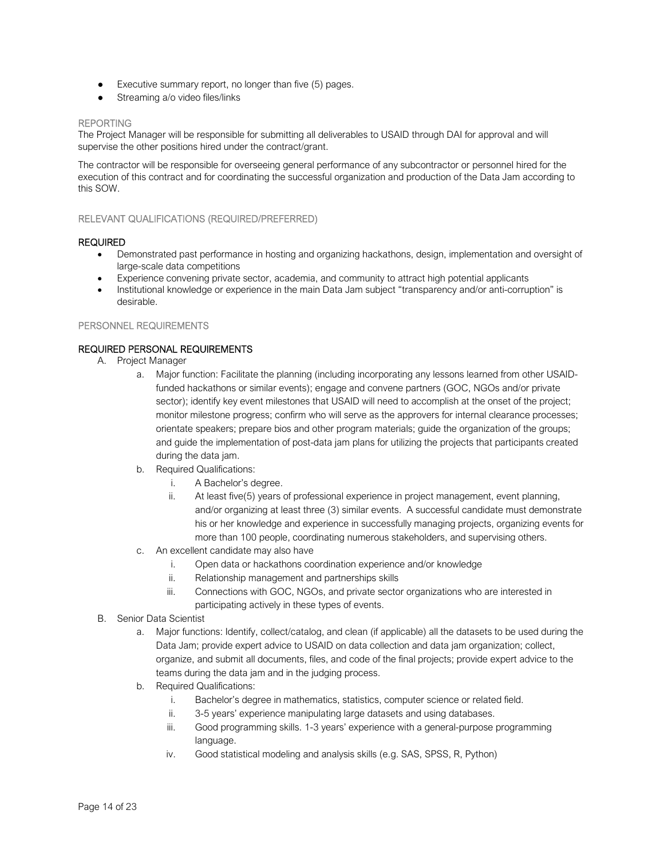- Executive summary report, no longer than five (5) pages.
- Streaming a/o video files/links

#### REPORTING

The Project Manager will be responsible for submitting all deliverables to USAID through DAI for approval and will supervise the other positions hired under the contract/grant.

The contractor will be responsible for overseeing general performance of any subcontractor or personnel hired for the execution of this contract and for coordinating the successful organization and production of the Data Jam according to this SOW.

#### RELEVANT QUALIFICATIONS (REQUIRED/PREFERRED)

#### REQUIRED

- Demonstrated past performance in hosting and organizing hackathons, design, implementation and oversight of large-scale data competitions
- Experience convening private sector, academia, and community to attract high potential applicants
- Institutional knowledge or experience in the main Data Jam subject "transparency and/or anti-corruption" is desirable.

#### PERSONNEL REQUIREMENTS

### REQUIRED PERSONAL REQUIREMENTS

- A. Project Manager
	- a. Major function: Facilitate the planning (including incorporating any lessons learned from other USAIDfunded hackathons or similar events); engage and convene partners (GOC, NGOs and/or private sector); identify key event milestones that USAID will need to accomplish at the onset of the project; monitor milestone progress; confirm who will serve as the approvers for internal clearance processes; orientate speakers; prepare bios and other program materials; guide the organization of the groups; and guide the implementation of post-data jam plans for utilizing the projects that participants created during the data jam.
	- b. Required Qualifications:
		- i. A Bachelor's degree.
		- ii. At least five(5) years of professional experience in project management, event planning, and/or organizing at least three (3) similar events. A successful candidate must demonstrate his or her knowledge and experience in successfully managing projects, organizing events for more than 100 people, coordinating numerous stakeholders, and supervising others.
	- c. An excellent candidate may also have
		- i. Open data or hackathons coordination experience and/or knowledge
		- ii. Relationship management and partnerships skills
		- iii. Connections with GOC, NGOs, and private sector organizations who are interested in participating actively in these types of events.
- B. Senior Data Scientist
	- a. Major functions: Identify, collect/catalog, and clean (if applicable) all the datasets to be used during the Data Jam; provide expert advice to USAID on data collection and data jam organization; collect, organize, and submit all documents, files, and code of the final projects; provide expert advice to the teams during the data jam and in the judging process.
	- b. Required Qualifications:
		- i. Bachelor's degree in mathematics, statistics, computer science or related field.
		- ii. 3-5 years' experience manipulating large datasets and using databases.
		- iii. Good programming skills. 1-3 years' experience with a general-purpose programming language.
		- iv. Good statistical modeling and analysis skills (e.g. SAS, SPSS, R, Python)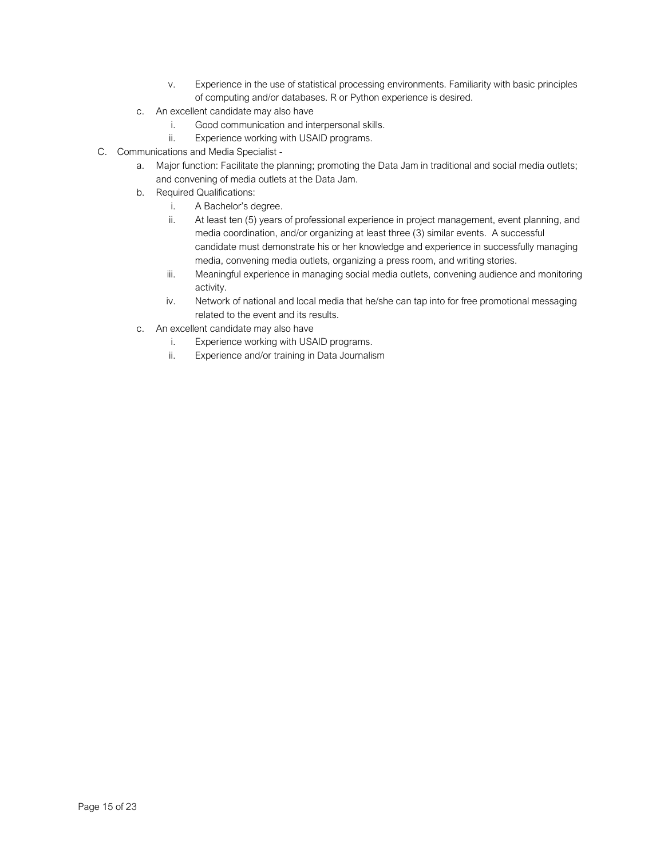- v. Experience in the use of statistical processing environments. Familiarity with basic principles of computing and/or databases. R or Python experience is desired.
- c. An excellent candidate may also have
	- i. Good communication and interpersonal skills.
	- ii. Experience working with USAID programs.
- C. Communications and Media Specialist
	- a. Major function: Facilitate the planning; promoting the Data Jam in traditional and social media outlets; and convening of media outlets at the Data Jam.
	- b. Required Qualifications:
		- i. A Bachelor's degree.
		- ii. At least ten (5) years of professional experience in project management, event planning, and media coordination, and/or organizing at least three (3) similar events. A successful candidate must demonstrate his or her knowledge and experience in successfully managing media, convening media outlets, organizing a press room, and writing stories.
		- iii. Meaningful experience in managing social media outlets, convening audience and monitoring activity.
		- iv. Network of national and local media that he/she can tap into for free promotional messaging related to the event and its results.
	- c. An excellent candidate may also have
		- i. Experience working with USAID programs.
		- ii. Experience and/or training in Data Journalism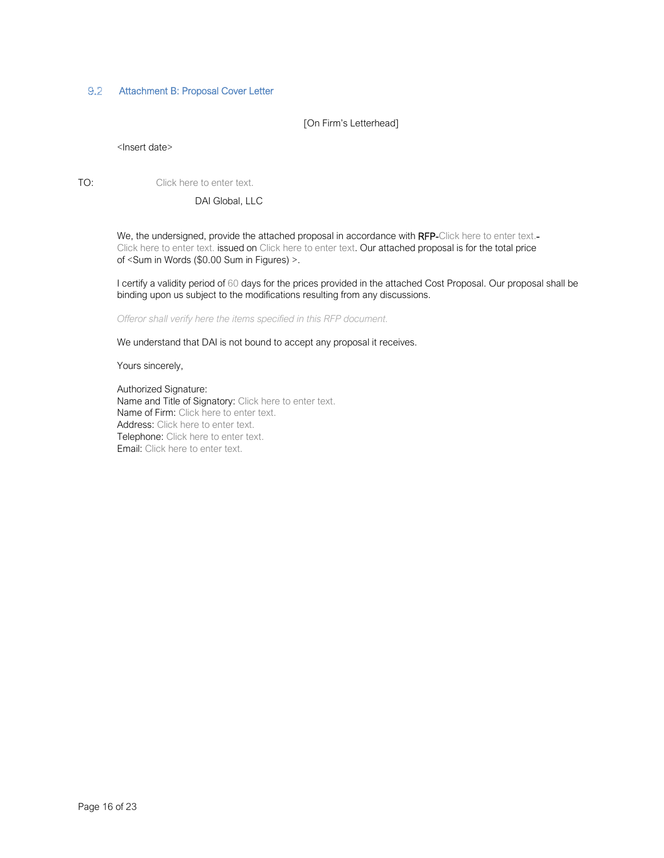#### $9.2$ Attachment B: Proposal Cover Letter

[On Firm's Letterhead]

#### <Insert date>

TO: Click here to enter text.

DAI Global, LLC

We, the undersigned, provide the attached proposal in accordance with RFP-Click here to enter text.-Click here to enter text. issued on Click here to enter text. Our attached proposal is for the total price of <Sum in Words (\$0.00 Sum in Figures) >.

I certify a validity period of 60 days for the prices provided in the attached Cost Proposal. Our proposal shall be binding upon us subject to the modifications resulting from any discussions.

*Offeror shall verify here the items specified in this RFP document.* 

We understand that DAI is not bound to accept any proposal it receives.

Yours sincerely,

Authorized Signature: Name and Title of Signatory: Click here to enter text. Name of Firm: Click here to enter text. Address: Click here to enter text. Telephone: Click here to enter text. Email: Click here to enter text.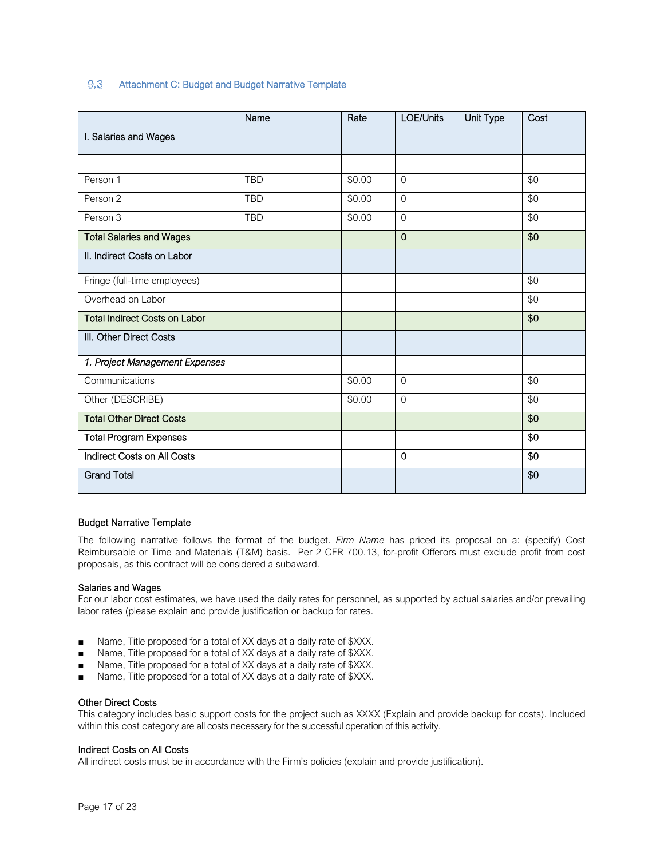#### $9.3$ Attachment C: Budget and Budget Narrative Template

|                                      | Name       | Rate   | LOE/Units      | <b>Unit Type</b> | Cost |
|--------------------------------------|------------|--------|----------------|------------------|------|
| I. Salaries and Wages                |            |        |                |                  |      |
|                                      |            |        |                |                  |      |
| Person 1                             | <b>TBD</b> | \$0.00 | $\overline{0}$ |                  | \$0  |
| Person 2                             | <b>TBD</b> | \$0.00 | $\Omega$       |                  | \$0  |
| Person 3                             | <b>TBD</b> | \$0.00 | $\overline{0}$ |                  | \$0  |
| <b>Total Salaries and Wages</b>      |            |        | $\mathbf 0$    |                  | \$0  |
| II. Indirect Costs on Labor          |            |        |                |                  |      |
| Fringe (full-time employees)         |            |        |                |                  | \$0  |
| Overhead on Labor                    |            |        |                |                  | \$0  |
| <b>Total Indirect Costs on Labor</b> |            |        |                |                  | \$0  |
| III. Other Direct Costs              |            |        |                |                  |      |
| 1. Project Management Expenses       |            |        |                |                  |      |
| Communications                       |            | \$0.00 | $\Omega$       |                  | \$0  |
| Other (DESCRIBE)                     |            | \$0.00 | $\overline{0}$ |                  | \$0  |
| <b>Total Other Direct Costs</b>      |            |        |                |                  | \$0  |
| <b>Total Program Expenses</b>        |            |        |                |                  | \$0  |
| Indirect Costs on All Costs          |            |        | 0              |                  | \$0  |
| <b>Grand Total</b>                   |            |        |                |                  | \$0  |

#### **Budget Narrative Template**

The following narrative follows the format of the budget. *Firm Name* has priced its proposal on a: (specify) Cost Reimbursable or Time and Materials (T&M) basis. Per 2 CFR 700.13, for-profit Offerors must exclude profit from cost proposals, as this contract will be considered a subaward.

### Salaries and Wages

For our labor cost estimates, we have used the daily rates for personnel, as supported by actual salaries and/or prevailing labor rates (please explain and provide justification or backup for rates.

- Name, Title proposed for a total of XX days at a daily rate of \$XXX.
- Name, Title proposed for a total of XX days at a daily rate of \$XXX.
- Name, Title proposed for a total of XX days at a daily rate of \$XXX.
- Name, Title proposed for a total of XX days at a daily rate of \$XXX.

#### Other Direct Costs

This category includes basic support costs for the project such as XXXX (Explain and provide backup for costs). Included within this cost category are all costs necessary for the successful operation of this activity.

#### Indirect Costs on All Costs

All indirect costs must be in accordance with the Firm's policies (explain and provide justification).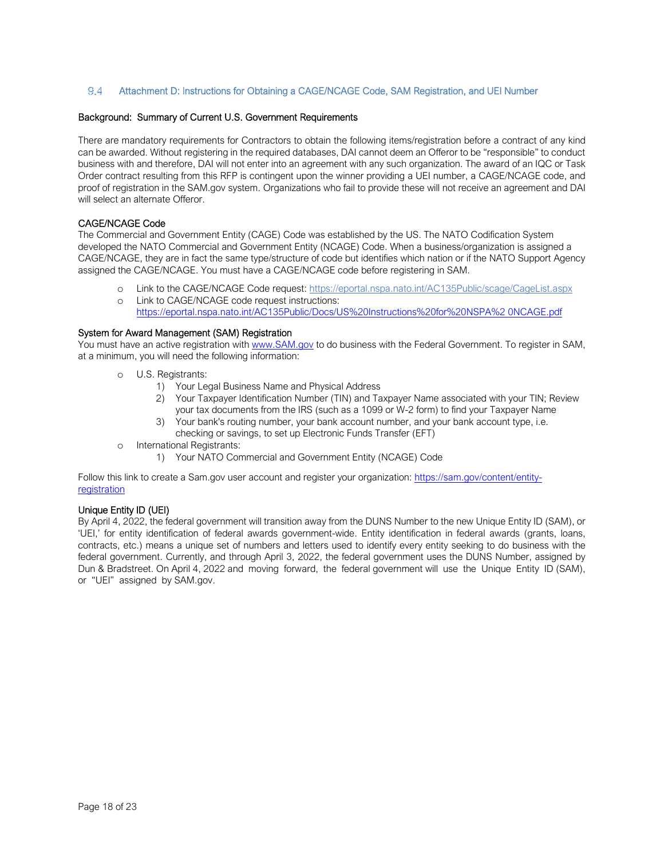#### $9.4$ Attachment D: Instructions for Obtaining a CAGE/NCAGE Code, SAM Registration, and UEI Number

#### Background: Summary of Current U.S. Government Requirements

There are mandatory requirements for Contractors to obtain the following items/registration before a contract of any kind can be awarded. Without registering in the required databases, DAI cannot deem an Offeror to be "responsible" to conduct business with and therefore, DAI will not enter into an agreement with any such organization. The award of an IQC or Task Order contract resulting from this RFP is contingent upon the winner providing a UEI number, a CAGE/NCAGE code, and proof of registration in the SAM.gov system. Organizations who fail to provide these will not receive an agreement and DAI will select an alternate Offeror.

#### CAGE/NCAGE Code

The Commercial and Government Entity (CAGE) Code was established by the US. The NATO Codification System developed the NATO Commercial and Government Entity (NCAGE) Code. When a business/organization is assigned a CAGE/NCAGE, they are in fact the same type/structure of code but identifies which nation or if the NATO Support Agency assigned the CAGE/NCAGE. You must have a CAGE/NCAGE code before registering in SAM.

- o Link to the CAGE/NCAGE Code request: https://eportal.nspa.nato.int/AC135Public/scage/CageList.aspx
- o Link to CAGE/NCAGE code request instructions: https://eportal.nspa.nato.int/AC135Public/Docs/US%20Instructions%20for%20NSPA%2 0NCAGE.pdf

#### System for Award Management (SAM) Registration

You must have an active registration with www.SAM.gov to do business with the Federal Government. To register in SAM, at a minimum, you will need the following information:

- o U.S. Registrants:
	- 1) Your Legal Business Name and Physical Address
	- 2) Your Taxpayer Identification Number (TIN) and Taxpayer Name associated with your TIN; Review your tax documents from the IRS (such as a 1099 or W-2 form) to find your Taxpayer Name
	- 3) Your bank's routing number, your bank account number, and your bank account type, i.e. checking or savings, to set up Electronic Funds Transfer (EFT)
- o International Registrants:
	- 1) Your NATO Commercial and Government Entity (NCAGE) Code

Follow this link to create a Sam.gov user account and register your organization: https://sam.gov/content/entityregistration

### Unique Entity ID (UEI)

By April 4, 2022, the federal government will transition away from the DUNS Number to the new Unique Entity ID (SAM), or 'UEI,' for entity identification of federal awards government-wide. Entity identification in federal awards (grants, loans, contracts, etc.) means a unique set of numbers and letters used to identify every entity seeking to do business with the federal government. Currently, and through April 3, 2022, the federal government uses the DUNS Number, assigned by Dun & Bradstreet. On April 4, 2022 and moving forward, the federal government will use the Unique Entity ID (SAM), or "UEI" assigned by SAM.gov.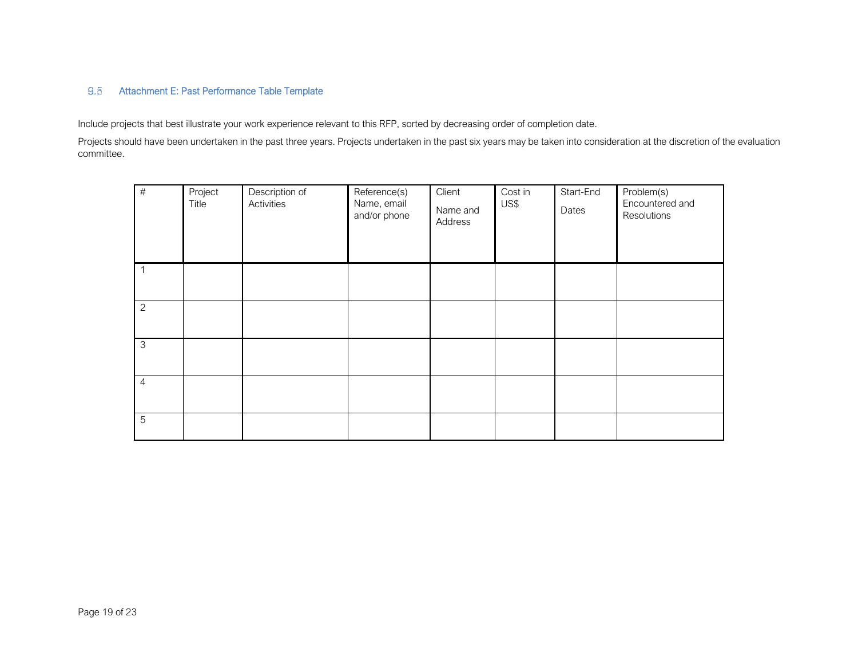9.5 Attachment E: Past Performance Table Template<br>Include projects that best illustrate your work experience relevant to this RFP, sorted by decreasing order of completion date.

Projects should have been undertaken in the past three years. Projects undertaken in the past six years may be taken into consideration at the discretion of the evaluation committee.

| $\#$           | Project<br>Title | Description of<br>Activities | Reference(s)<br>Name, email<br>and/or phone | Client<br>Name and<br>Address | Cost in<br>US\$ | Start-End<br>Dates | Problem(s)<br>Encountered and<br>Resolutions |
|----------------|------------------|------------------------------|---------------------------------------------|-------------------------------|-----------------|--------------------|----------------------------------------------|
| 1              |                  |                              |                                             |                               |                 |                    |                                              |
| $\overline{2}$ |                  |                              |                                             |                               |                 |                    |                                              |
| $\mathfrak{Z}$ |                  |                              |                                             |                               |                 |                    |                                              |
| $\overline{4}$ |                  |                              |                                             |                               |                 |                    |                                              |
| $\mathbf 5$    |                  |                              |                                             |                               |                 |                    |                                              |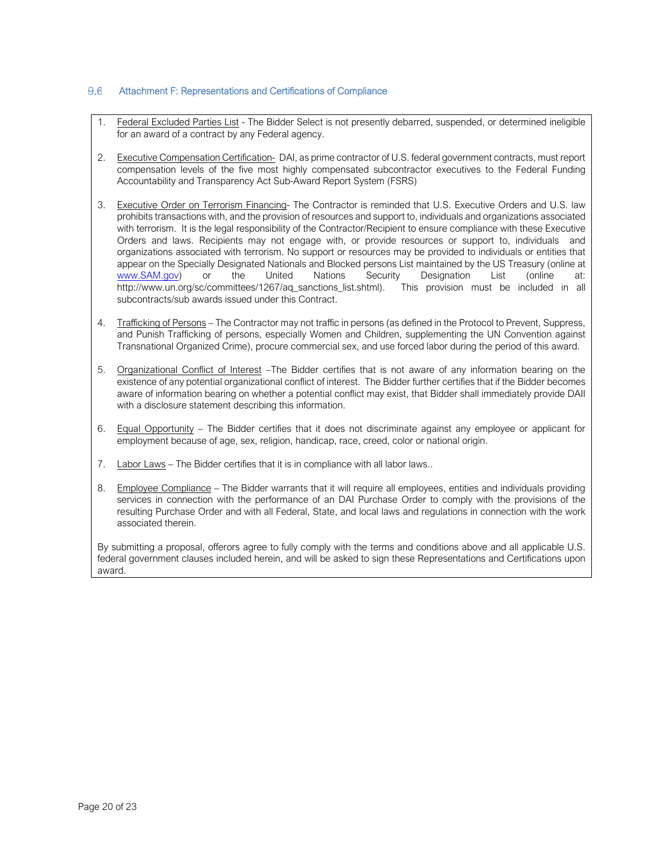#### $9.6$ Attachment F: Representations and Certifications of Compliance

- 1. Federal Excluded Parties List The Bidder Select is not presently debarred, suspended, or determined ineligible for an award of a contract by any Federal agency.
- 2. Executive Compensation Certification- DAI, as prime contractor of U.S. federal government contracts, must report compensation levels of the five most highly compensated subcontractor executives to the Federal Funding Accountability and Transparency Act Sub-Award Report System (FSRS)
- 3. Executive Order on Terrorism Financing- The Contractor is reminded that U.S. Executive Orders and U.S. law prohibits transactions with, and the provision of resources and support to, individuals and organizations associated with terrorism. It is the legal responsibility of the Contractor/Recipient to ensure compliance with these Executive Orders and laws. Recipients may not engage with, or provide resources or support to, individuals and organizations associated with terrorism. No support or resources may be provided to individuals or entities that appear on the Specially Designated Nationals and Blocked persons List maintained by the US Treasury (online at www.SAM.gov) or the United Nations Security Designation List (online at:<br>http://www.un.org/sc/committees/1267/aq\_sanctions\_list.shtml). This provision must be included in all http://www.un.org/sc/committees/1267/aq\_sanctions\_list.shtml). subcontracts/sub awards issued under this Contract.
- 4. Trafficking of Persons The Contractor may not traffic in persons (as defined in the Protocol to Prevent, Suppress, and Punish Trafficking of persons, especially Women and Children, supplementing the UN Convention against Transnational Organized Crime), procure commercial sex, and use forced labor during the period of this award.
- 5. Organizational Conflict of Interest –The Bidder certifies that is not aware of any information bearing on the existence of any potential organizational conflict of interest. The Bidder further certifies that if the Bidder becomes aware of information bearing on whether a potential conflict may exist, that Bidder shall immediately provide DAII with a disclosure statement describing this information.
- 6. Equal Opportunity The Bidder certifies that it does not discriminate against any employee or applicant for employment because of age, sex, religion, handicap, race, creed, color or national origin.
- 7. Labor Laws The Bidder certifies that it is in compliance with all labor laws..
- 8. Employee Compliance The Bidder warrants that it will require all employees, entities and individuals providing services in connection with the performance of an DAI Purchase Order to comply with the provisions of the resulting Purchase Order and with all Federal, State, and local laws and regulations in connection with the work associated therein.

By submitting a proposal, offerors agree to fully comply with the terms and conditions above and all applicable U.S. federal government clauses included herein, and will be asked to sign these Representations and Certifications upon award.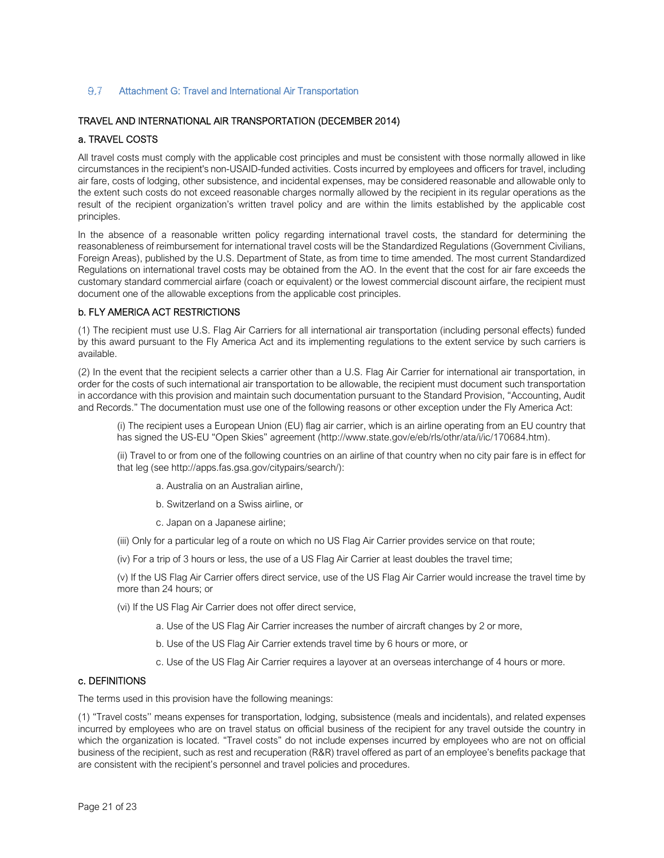#### $9.7$ Attachment G: Travel and International Air Transportation

#### TRAVEL AND INTERNATIONAL AIR TRANSPORTATION (DECEMBER 2014)

#### a. TRAVEL COSTS

All travel costs must comply with the applicable cost principles and must be consistent with those normally allowed in like circumstances in the recipient's non-USAID-funded activities. Costs incurred by employees and officers for travel, including air fare, costs of lodging, other subsistence, and incidental expenses, may be considered reasonable and allowable only to the extent such costs do not exceed reasonable charges normally allowed by the recipient in its regular operations as the result of the recipient organization's written travel policy and are within the limits established by the applicable cost principles.

In the absence of a reasonable written policy regarding international travel costs, the standard for determining the reasonableness of reimbursement for international travel costs will be the Standardized Regulations (Government Civilians, Foreign Areas), published by the U.S. Department of State, as from time to time amended. The most current Standardized Regulations on international travel costs may be obtained from the AO. In the event that the cost for air fare exceeds the customary standard commercial airfare (coach or equivalent) or the lowest commercial discount airfare, the recipient must document one of the allowable exceptions from the applicable cost principles.

#### b. FLY AMERICA ACT RESTRICTIONS

(1) The recipient must use U.S. Flag Air Carriers for all international air transportation (including personal effects) funded by this award pursuant to the Fly America Act and its implementing regulations to the extent service by such carriers is available.

(2) In the event that the recipient selects a carrier other than a U.S. Flag Air Carrier for international air transportation, in order for the costs of such international air transportation to be allowable, the recipient must document such transportation in accordance with this provision and maintain such documentation pursuant to the Standard Provision, "Accounting, Audit and Records." The documentation must use one of the following reasons or other exception under the Fly America Act:

(i) The recipient uses a European Union (EU) flag air carrier, which is an airline operating from an EU country that has signed the US-EU "Open Skies" agreement (http://www.state.gov/e/eb/rls/othr/ata/i/ic/170684.htm).

(ii) Travel to or from one of the following countries on an airline of that country when no city pair fare is in effect for that leg (see http://apps.fas.gsa.gov/citypairs/search/):

- a. Australia on an Australian airline,
- b. Switzerland on a Swiss airline, or
- c. Japan on a Japanese airline;
- (iii) Only for a particular leg of a route on which no US Flag Air Carrier provides service on that route;
- (iv) For a trip of 3 hours or less, the use of a US Flag Air Carrier at least doubles the travel time;

(v) If the US Flag Air Carrier offers direct service, use of the US Flag Air Carrier would increase the travel time by more than 24 hours; or

- (vi) If the US Flag Air Carrier does not offer direct service,
	- a. Use of the US Flag Air Carrier increases the number of aircraft changes by 2 or more,
	- b. Use of the US Flag Air Carrier extends travel time by 6 hours or more, or
	- c. Use of the US Flag Air Carrier requires a layover at an overseas interchange of 4 hours or more.

#### c. DEFINITIONS

The terms used in this provision have the following meanings:

(1) "Travel costs'' means expenses for transportation, lodging, subsistence (meals and incidentals), and related expenses incurred by employees who are on travel status on official business of the recipient for any travel outside the country in which the organization is located. "Travel costs" do not include expenses incurred by employees who are not on official business of the recipient, such as rest and recuperation (R&R) travel offered as part of an employee's benefits package that are consistent with the recipient's personnel and travel policies and procedures.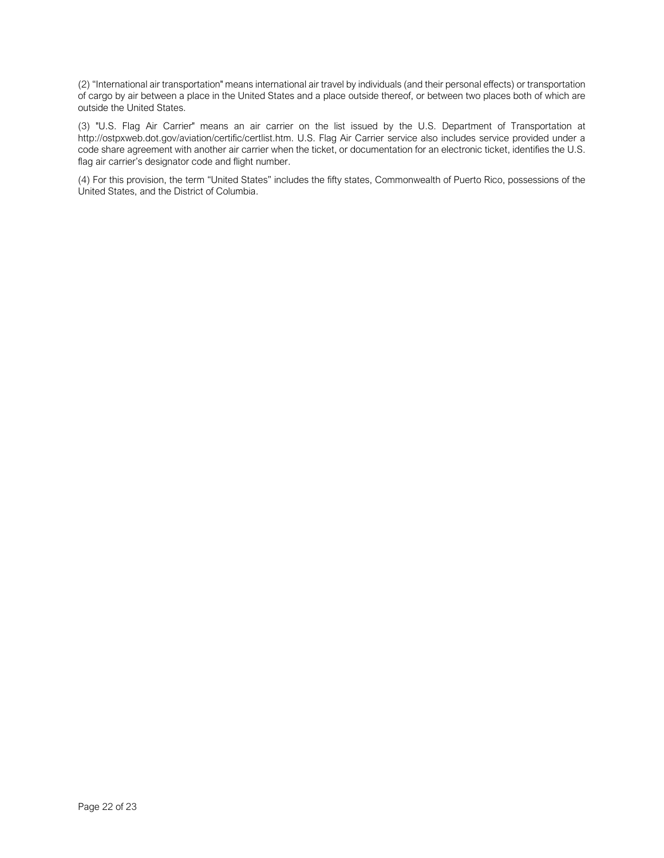(2) "International air transportation" means international air travel by individuals (and their personal effects) or transportation of cargo by air between a place in the United States and a place outside thereof, or between two places both of which are outside the United States.

(3) "U.S. Flag Air Carrier" means an air carrier on the list issued by the U.S. Department of Transportation at http://ostpxweb.dot.gov/aviation/certific/certlist.htm. U.S. Flag Air Carrier service also includes service provided under a code share agreement with another air carrier when the ticket, or documentation for an electronic ticket, identifies the U.S. flag air carrier's designator code and flight number.

(4) For this provision, the term "United States" includes the fifty states, Commonwealth of Puerto Rico, possessions of the United States, and the District of Columbia.